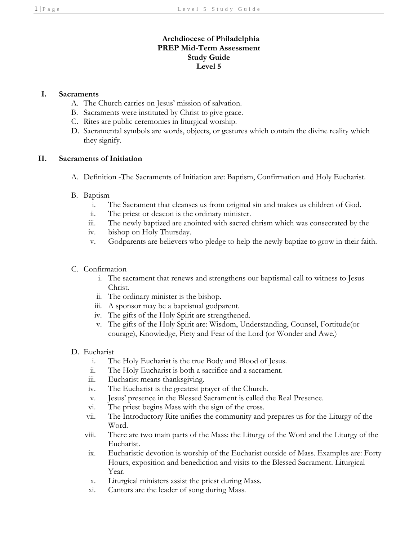# **Archdiocese of Philadelphia PREP Mid-Term Assessment Study Guide Level 5**

### **I. Sacraments**

- A. The Church carries on Jesus' mission of salvation.
- B. Sacraments were instituted by Christ to give grace.
- C. Rites are public ceremonies in liturgical worship.
- D. Sacramental symbols are words, objects, or gestures which contain the divine reality which they signify.

#### **II. Sacraments of Initiation**

A. Definition -The Sacraments of Initiation are: Baptism, Confirmation and Holy Eucharist.

## B. Baptism

- i. The Sacrament that cleanses us from original sin and makes us children of God.
- ii. The priest or deacon is the ordinary minister.
- iii. The newly baptized are anointed with sacred chrism which was consecrated by the
- iv. bishop on Holy Thursday.
- v. Godparents are believers who pledge to help the newly baptize to grow in their faith.
- C. Confirmation
	- i. The sacrament that renews and strengthens our baptismal call to witness to Jesus Christ.
	- ii. The ordinary minister is the bishop.
	- iii. A sponsor may be a baptismal godparent.
	- iv. The gifts of the Holy Spirit are strengthened.
	- v. The gifts of the Holy Spirit are: Wisdom, Understanding, Counsel, Fortitude(or courage), Knowledge, Piety and Fear of the Lord (or Wonder and Awe.)
- D. Eucharist
	- i. The Holy Eucharist is the true Body and Blood of Jesus.
	- ii. The Holy Eucharist is both a sacrifice and a sacrament.
	- iii. Eucharist means thanksgiving.
	- iv. The Eucharist is the greatest prayer of the Church.
	- v. Jesus' presence in the Blessed Sacrament is called the Real Presence.
	- vi. The priest begins Mass with the sign of the cross.
	- vii. The Introductory Rite unifies the community and prepares us for the Liturgy of the Word.
	- viii. There are two main parts of the Mass: the Liturgy of the Word and the Liturgy of the Eucharist.
	- ix. Eucharistic devotion is worship of the Eucharist outside of Mass. Examples are: Forty Hours, exposition and benediction and visits to the Blessed Sacrament. Liturgical Year.
	- x. Liturgical ministers assist the priest during Mass.
	- xi. Cantors are the leader of song during Mass.